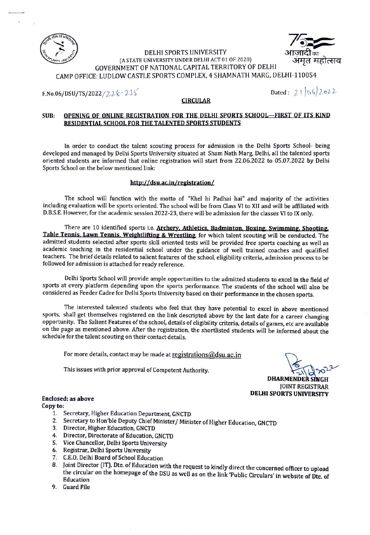



#### DELHI SPORTS UNIVERSITY (A STATE UNIVERSITY UNDER DELHI ACT 01 OF 2020) GOVERNMENT OF NATIONAL CAPITAL TERRITORY OF DELHI CAMP OFFICE: LUDLOW CASTLE SPORTS COMPLEX, 4 SHAMNATH MARG, DELHI-110054

F.No.06/DSU/TS/2022/22& 23S

#### CIRCULAR

#### OPENING OF ONLINE REGISTRATION FOR THE DELHI SPORTS SCHOOL-FIRST OF ITS KIND RESIDENTIAL SCHOOL FOR THE TALENTED SPORTS STUDENTS SUB:

In order to conduct the talent scouting process for admission in the Delhi Sports School- being developed and managed by Delhi Sports University situated at Sham Nath Marg. Delhi, all the talented sports oriented students are informed that online registration will start from 22.06.2022 to 05.07.2022 by Delhi Sports School on the below mentioned link:

#### http://dsu.ac.in/registration

The school will function with the motto of "Khel hi Padhai hai" and majority of the activities including evaluation will be sports oriented. The school will be from Class VI to Xll and will be affliated with D.B.S.E. However, for the academic session 2022-23, there will be admission for the classes VI to IX only.

There are 10 identified sports i.e. Archery. Athletics. Badminton. Boxing. Swimming. Shooting. Table Tennis. Lawn Tennis. Weightliting & Wrestling for which talent scouting will be conducted. The admitted students selected after sports skill oriented tests will be provided free sports coaching as well as academic teaching in the residential school under the guidance of well trained coaches and qualified teachers. The brief details related to salient features of the school, eligibility criteria, admission process to be followed for admission is attached for ready reference.

Delhi Sports School will provide ample opportunities to the admitted students to excel in the field of sports at every platform depending upon the sports performance. The students of the school will also be considered as Feeder Cadre for Delhi Sports University based on their performance in the chosen sports.

The interested talented students who feel that they have potential to excel in above mentioned sports, shall get themselves registered on the link descripted above by the last date for a career changing opportunity. The Salient Features of the school, details of eligibility criteria, details of games, etc are available on the page as mentioned above. After the registration, the shortlisted students will be informed about the schedule for the talent scouting on their contact details.

For more details, contact may be made at registrations@dsu.ac.in

This issues with prior approval of Competent Authority.

DHARMENDER SINGH JOINT REGISTRAR DELHI SPORTS UNIVERSITY

## Enclosed: as above

### Copy to:

- 1. Secretary, Higher Education Department, GNCTD
- 2. Secretary to Hon'ble Deputy Chief Minister/ Minister of Higher Education, GNCTD
- 3. Director, Higher Education, GNCTD
- 4. Director, Directorate of Education, GNCTD
- 5. Vice Chancellor, Delhi Sports University
- 6. Registrar, Delhi Sports University
- 
- 7. C.E.O. Delhi Board of School Education<br>8. Joint Director (IT), Dte. of Education with the request to kindly direct the concerned officer to upload the circular on the homepage of the DSU as well as on the link 'Public Circulars' in website of Dte. of Education
- 9. Guard File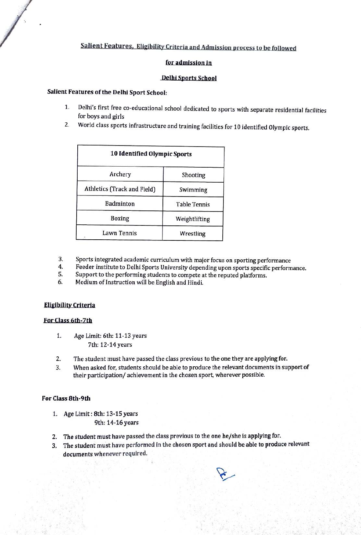# Salient Features, Eligibility Criteria and Admission process to be followed

#### for admission in

#### Delhi Sports School

### Salient Features of the Delhi Sport School:

- 1. Delhi's first free co-educational school dedicated to sports with separate residential facilities for boys and girls
- World class sports infrastructure and training facilities for 10 identified Olympic sports. 2.

| 10 Identified Olympic Sports |                     |
|------------------------------|---------------------|
| Archery                      | Shooting            |
| Athletics (Track and Field)  | Swimming            |
| Badminton                    | <b>Table Tennis</b> |
| Boxing                       | Weightlifting       |
| Lawn Tennis                  | Wrestling           |

- Sports integrated academic curriculum with major focus on sporting performance 3.
- 4. Feeder institute to Delhi Sports University depending upon sports specific performance.<br>5. Support to the performing students to compete at the reputed platforms
- Support to the performing students to compete at the reputed platforms.
- 6. Medium of Instruction will be English and Hindi.

#### Eligibility Criteria

#### Eor Class 6th-7th

- Age Limit: 6th: 11-13 years 7th: 12-14 years 1.
- The student must have passed the class previous to the one they are applying for. 2.
- When asked for, students should be able to produce the relevant documents in support of their participation/ achievement in the chosen sport, wherever possible. 3.

#### For Class 8th-9th

- 1. Age Limit: 8th: 13-15 years 9th: 14-16 years
- 2. The student must have passed the class previous to the one he/she is applying for.
- 3. The student must have performed in the chosen sport and should be able to produce relevant documents whenever required.